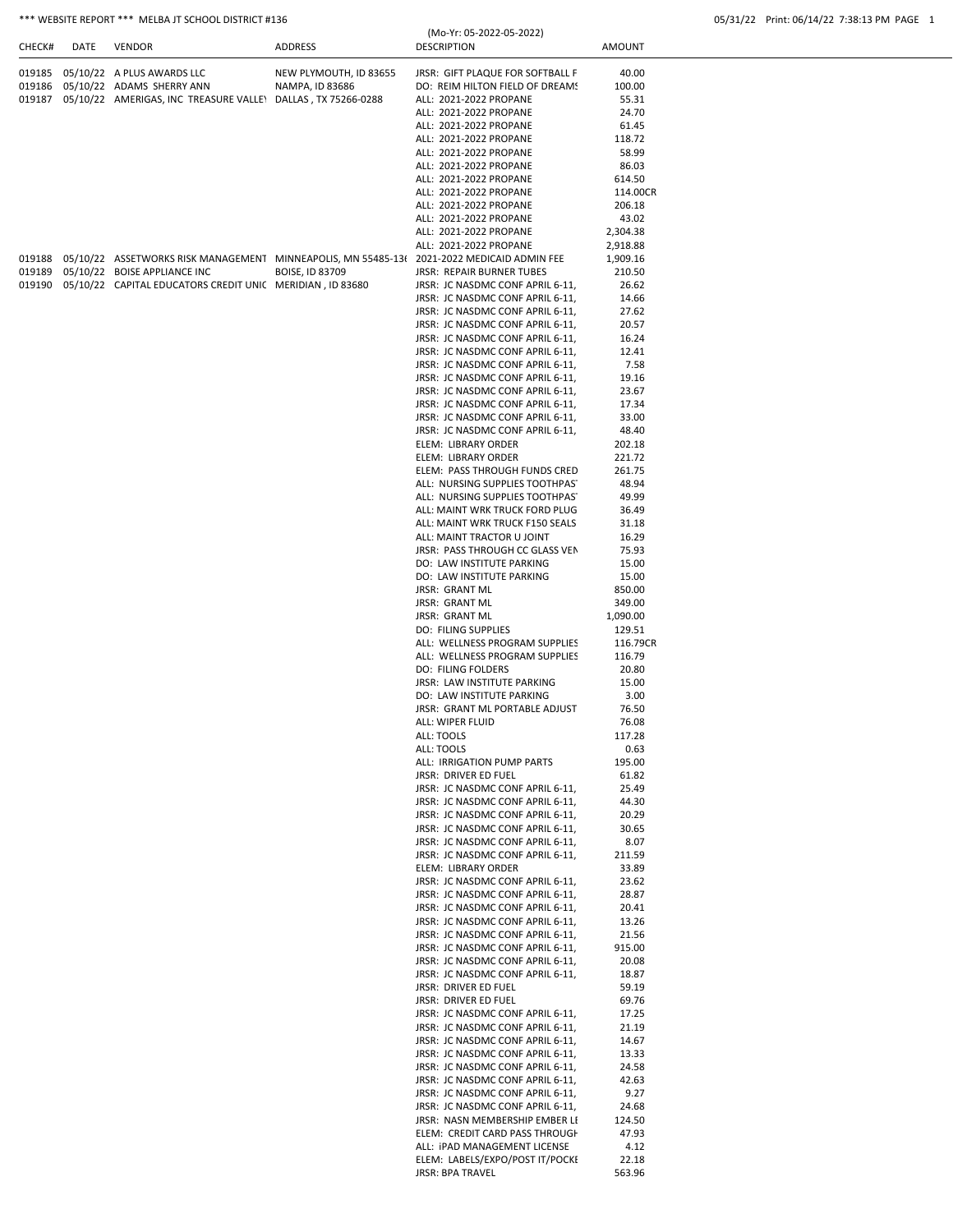| CHECK# | DATE | VENDOR                                                              | ADDRESS                | (Mo-Yr: 05-2022-05-2022)<br><b>DESCRIPTION</b> | AMOUNT |
|--------|------|---------------------------------------------------------------------|------------------------|------------------------------------------------|--------|
|        |      | 019185 05/10/22 A PLUS AWARDS LLC                                   | NEW PLYMOUTH, ID 83655 | JRSR: GIFT PLAQUE FOR SOFTBALL F               | 40.00  |
|        |      | 019186 05/10/22 ADAMS SHERRY ANN                                    | NAMPA. ID 83686        | DO: REIM HILTON FIELD OF DREAM!                | 100.00 |
|        |      | 019187 05/10/22 AMERIGAS, INC TREASURE VALLEY DALLAS, TX 75266-0288 |                        | ALL: 2021-2022 PROPANE                         | 55.31  |
|        |      |                                                                     |                        | ALL: 2021-2022 PROPANE                         | 24.70  |
|        |      |                                                                     |                        | ALL: 2021-2022 PROPANE                         | 61.45  |

|        |                                                                                            |                        | ALL: 2021-2022 PROPANE                                               | 118.72   |
|--------|--------------------------------------------------------------------------------------------|------------------------|----------------------------------------------------------------------|----------|
|        |                                                                                            |                        | ALL: 2021-2022 PROPANE                                               | 58.99    |
|        |                                                                                            |                        | ALL: 2021-2022 PROPANE                                               | 86.03    |
|        |                                                                                            |                        | ALL: 2021-2022 PROPANE                                               | 614.50   |
|        |                                                                                            |                        | ALL: 2021-2022 PROPANE                                               | 114.00CR |
|        |                                                                                            |                        | ALL: 2021-2022 PROPANE                                               | 206.18   |
|        |                                                                                            |                        | ALL: 2021-2022 PROPANE                                               | 43.02    |
|        |                                                                                            |                        | ALL: 2021-2022 PROPANE                                               | 2,304.38 |
|        |                                                                                            |                        | ALL: 2021-2022 PROPANE                                               | 2,918.88 |
| 019188 | 05/10/22 ASSETWORKS RISK MANAGEMENT MINNEAPOLIS, MN 55485-13( 2021-2022 MEDICAID ADMIN FEE |                        |                                                                      | 1,909.16 |
| 019189 | 05/10/22 BOISE APPLIANCE INC                                                               | <b>BOISE, ID 83709</b> | <b>JRSR: REPAIR BURNER TUBES</b>                                     | 210.50   |
|        |                                                                                            |                        | JRSR: JC NASDMC CONF APRIL 6-11,                                     | 26.62    |
|        |                                                                                            |                        |                                                                      |          |
|        |                                                                                            |                        | JRSR: JC NASDMC CONF APRIL 6-11,<br>JRSR: JC NASDMC CONF APRIL 6-11, | 14.66    |
|        |                                                                                            |                        |                                                                      | 27.62    |
|        |                                                                                            |                        | JRSR: JC NASDMC CONF APRIL 6-11,                                     | 20.57    |
|        |                                                                                            |                        | JRSR: JC NASDMC CONF APRIL 6-11,                                     | 16.24    |
|        |                                                                                            |                        | JRSR: JC NASDMC CONF APRIL 6-11,                                     | 12.41    |
|        |                                                                                            |                        | JRSR: JC NASDMC CONF APRIL 6-11,                                     | 7.58     |
|        |                                                                                            |                        | JRSR: JC NASDMC CONF APRIL 6-11,                                     | 19.16    |
|        |                                                                                            |                        | JRSR: JC NASDMC CONF APRIL 6-11,                                     | 23.67    |
|        |                                                                                            |                        | JRSR: JC NASDMC CONF APRIL 6-11,                                     | 17.34    |
|        |                                                                                            |                        | JRSR: JC NASDMC CONF APRIL 6-11,                                     | 33.00    |
|        |                                                                                            |                        | JRSR: JC NASDMC CONF APRIL 6-11,                                     | 48.40    |
|        |                                                                                            |                        | ELEM: LIBRARY ORDER                                                  | 202.18   |
|        |                                                                                            |                        | ELEM: LIBRARY ORDER                                                  | 221.72   |
|        |                                                                                            |                        | ELEM: PASS THROUGH FUNDS CRED                                        | 261.75   |
|        |                                                                                            |                        | ALL: NURSING SUPPLIES TOOTHPAS'                                      | 48.94    |
|        |                                                                                            |                        | ALL: NURSING SUPPLIES TOOTHPAS'                                      | 49.99    |
|        |                                                                                            |                        | ALL: MAINT WRK TRUCK FORD PLUG                                       | 36.49    |
|        |                                                                                            |                        | ALL: MAINT WRK TRUCK F150 SEALS                                      | 31.18    |
|        |                                                                                            |                        | ALL: MAINT TRACTOR U JOINT                                           | 16.29    |
|        |                                                                                            |                        | JRSR: PASS THROUGH CC GLASS VEN                                      | 75.93    |
|        |                                                                                            |                        | DO: LAW INSTITUTE PARKING                                            | 15.00    |
|        |                                                                                            |                        | DO: LAW INSTITUTE PARKING                                            | 15.00    |
|        |                                                                                            |                        | <b>JRSR: GRANT ML</b>                                                | 850.00   |
|        |                                                                                            |                        | <b>JRSR: GRANT ML</b>                                                | 349.00   |
|        |                                                                                            |                        | <b>JRSR: GRANT ML</b>                                                | 1,090.00 |
|        |                                                                                            |                        | <b>DO: FILING SUPPLIES</b>                                           | 129.51   |
|        |                                                                                            |                        | ALL: WELLNESS PROGRAM SUPPLIES                                       | 116.79CR |
|        |                                                                                            |                        |                                                                      |          |
|        |                                                                                            |                        | ALL: WELLNESS PROGRAM SUPPLIES                                       | 116.79   |
|        |                                                                                            |                        | <b>DO: FILING FOLDERS</b>                                            | 20.80    |
|        |                                                                                            |                        | JRSR: LAW INSTITUTE PARKING                                          | 15.00    |
|        |                                                                                            |                        | DO: LAW INSTITUTE PARKING                                            | 3.00     |
|        |                                                                                            |                        | JRSR: GRANT ML PORTABLE ADJUST                                       | 76.50    |
|        |                                                                                            |                        | ALL: WIPER FLUID                                                     | 76.08    |
|        |                                                                                            |                        | ALL: TOOLS                                                           | 117.28   |
|        |                                                                                            |                        | ALL: TOOLS                                                           | 0.63     |
|        |                                                                                            |                        | ALL: IRRIGATION PUMP PARTS                                           | 195.00   |
|        |                                                                                            |                        | JRSR: DRIVER ED FUEL                                                 | 61.82    |
|        |                                                                                            |                        | JRSR: JC NASDMC CONF APRIL 6-11,                                     | 25.49    |
|        |                                                                                            |                        | JRSR: JC NASDMC CONF APRIL 6-11,                                     | 44.30    |
|        |                                                                                            |                        | JRSR: JC NASDMC CONF APRIL 6-11,                                     | 20.29    |
|        |                                                                                            |                        | JRSR: JC NASDMC CONF APRIL 6-11,                                     | 30.65    |
|        |                                                                                            |                        | JRSR: JC NASDMC CONF APRIL 6-11,                                     | 8.07     |
|        |                                                                                            |                        | JRSR: JC NASDMC CONF APRIL 6-11,                                     | 211.59   |
|        |                                                                                            |                        | ELEM: LIBRARY ORDER                                                  | 33.89    |
|        |                                                                                            |                        | JRSR: JC NASDMC CONF APRIL 6-11,                                     | 23.62    |
|        |                                                                                            |                        | JRSR: JC NASDMC CONF APRIL 6-11,                                     | 28.87    |
|        |                                                                                            |                        | JRSR: JC NASDMC CONF APRIL 6-11,                                     | 20.41    |
|        |                                                                                            |                        | JRSR: JC NASDMC CONF APRIL 6-11,                                     | 13.26    |
|        |                                                                                            |                        | JRSR: JC NASDMC CONF APRIL 6-11,                                     | 21.56    |
|        |                                                                                            |                        | JRSR: JC NASDMC CONF APRIL 6-11,                                     | 915.00   |
|        |                                                                                            |                        | JRSR: JC NASDMC CONF APRIL 6-11,                                     | 20.08    |
|        |                                                                                            |                        | JRSR: JC NASDMC CONF APRIL 6-11,                                     | 18.87    |
|        |                                                                                            |                        | JRSR: DRIVER ED FUEL                                                 | 59.19    |
|        |                                                                                            |                        | JRSR: DRIVER ED FUEL                                                 | 69.76    |
|        |                                                                                            |                        | JRSR: JC NASDMC CONF APRIL 6-11,                                     | 17.25    |
|        |                                                                                            |                        | JRSR: JC NASDMC CONF APRIL 6-11,                                     | 21.19    |
|        |                                                                                            |                        | JRSR: JC NASDMC CONF APRIL 6-11,                                     | 14.67    |
|        |                                                                                            |                        | JRSR: JC NASDMC CONF APRIL 6-11,                                     | 13.33    |
|        |                                                                                            |                        | JRSR: JC NASDMC CONF APRIL 6-11,                                     | 24.58    |
|        |                                                                                            |                        | JRSR: JC NASDMC CONF APRIL 6-11,                                     | 42.63    |
|        |                                                                                            |                        | JRSR: JC NASDMC CONF APRIL 6-11,                                     | 9.27     |
|        |                                                                                            |                        | JRSR: JC NASDMC CONF APRIL 6-11,                                     | 24.68    |
|        |                                                                                            |                        | JRSR: NASN MEMBERSHIP EMBER LI                                       | 124.50   |
|        |                                                                                            |                        | ELEM: CREDIT CARD PASS THROUGH                                       | 47.93    |
|        |                                                                                            |                        | ALL: IPAD MANAGEMENT LICENSE                                         |          |
|        |                                                                                            |                        |                                                                      | 4.12     |
|        |                                                                                            |                        | ELEM: LABELS/EXPO/POST IT/POCKI                                      | 22.18    |
|        |                                                                                            |                        | JRSR: BPA TRAVEL                                                     | 563.96   |
|        |                                                                                            |                        |                                                                      |          |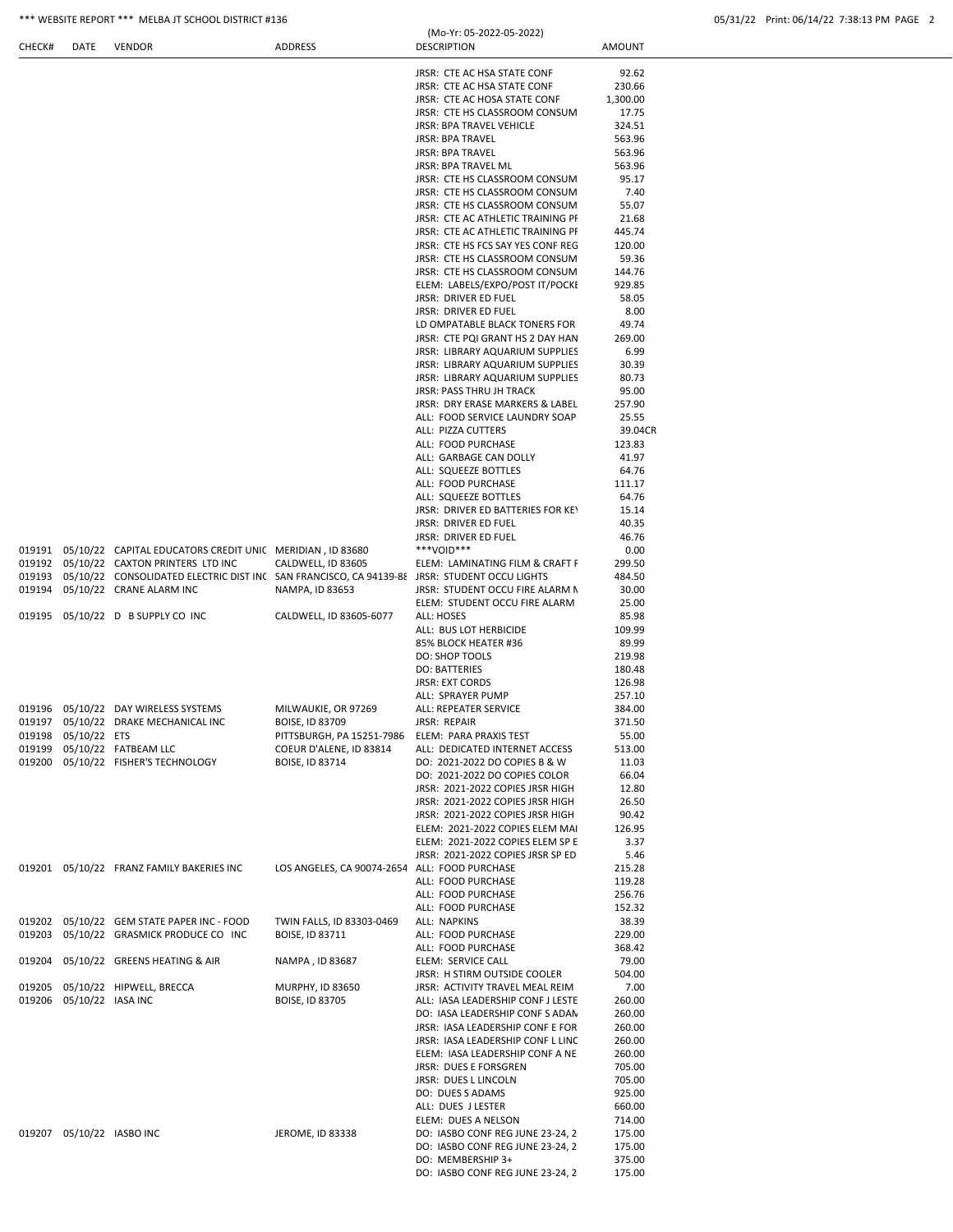| CHECK# | DATE                     | VENDOR                                                                                              | ADDRESS                                       | <b>DESCRIPTION</b>                                                  | AMOUNT           |
|--------|--------------------------|-----------------------------------------------------------------------------------------------------|-----------------------------------------------|---------------------------------------------------------------------|------------------|
|        |                          |                                                                                                     |                                               |                                                                     | 92.62            |
|        |                          |                                                                                                     |                                               | JRSR: CTE AC HSA STATE CONF<br>JRSR: CTE AC HSA STATE CONF          | 230.66           |
|        |                          |                                                                                                     |                                               | JRSR: CTE AC HOSA STATE CONF                                        | 1,300.00         |
|        |                          |                                                                                                     |                                               | JRSR: CTE HS CLASSROOM CONSUM                                       | 17.75            |
|        |                          |                                                                                                     |                                               | <b>JRSR: BPA TRAVEL VEHICLE</b>                                     | 324.51           |
|        |                          |                                                                                                     |                                               | <b>JRSR: BPA TRAVEL</b>                                             | 563.96           |
|        |                          |                                                                                                     |                                               | <b>JRSR: BPA TRAVEL</b>                                             | 563.96           |
|        |                          |                                                                                                     |                                               | JRSR: BPA TRAVEL ML                                                 | 563.96           |
|        |                          |                                                                                                     |                                               | JRSR: CTE HS CLASSROOM CONSUM                                       | 95.17            |
|        |                          |                                                                                                     |                                               | JRSR: CTE HS CLASSROOM CONSUM<br>JRSR: CTE HS CLASSROOM CONSUM      | 7.40<br>55.07    |
|        |                          |                                                                                                     |                                               | JRSR: CTE AC ATHLETIC TRAINING PI                                   | 21.68            |
|        |                          |                                                                                                     |                                               | JRSR: CTE AC ATHLETIC TRAINING PI                                   | 445.74           |
|        |                          |                                                                                                     |                                               | JRSR: CTE HS FCS SAY YES CONF REG                                   | 120.00           |
|        |                          |                                                                                                     |                                               | JRSR: CTE HS CLASSROOM CONSUM                                       | 59.36            |
|        |                          |                                                                                                     |                                               | JRSR: CTE HS CLASSROOM CONSUM                                       | 144.76           |
|        |                          |                                                                                                     |                                               | ELEM: LABELS/EXPO/POST IT/POCKI                                     | 929.85           |
|        |                          |                                                                                                     |                                               | JRSR: DRIVER ED FUEL                                                | 58.05            |
|        |                          |                                                                                                     |                                               | JRSR: DRIVER ED FUEL                                                | 8.00             |
|        |                          |                                                                                                     |                                               | LD OMPATABLE BLACK TONERS FOR                                       | 49.74            |
|        |                          |                                                                                                     |                                               | JRSR: CTE PQI GRANT HS 2 DAY HAN<br>JRSR: LIBRARY AQUARIUM SUPPLIES | 269.00<br>6.99   |
|        |                          |                                                                                                     |                                               | JRSR: LIBRARY AQUARIUM SUPPLIES                                     | 30.39            |
|        |                          |                                                                                                     |                                               | JRSR: LIBRARY AQUARIUM SUPPLIES                                     | 80.73            |
|        |                          |                                                                                                     |                                               | <b>JRSR: PASS THRU JH TRACK</b>                                     | 95.00            |
|        |                          |                                                                                                     |                                               | JRSR: DRY ERASE MARKERS & LABEL                                     | 257.90           |
|        |                          |                                                                                                     |                                               | ALL: FOOD SERVICE LAUNDRY SOAP                                      | 25.55            |
|        |                          |                                                                                                     |                                               | ALL: PIZZA CUTTERS                                                  | 39.04CR          |
|        |                          |                                                                                                     |                                               | ALL: FOOD PURCHASE                                                  | 123.83           |
|        |                          |                                                                                                     |                                               | ALL: GARBAGE CAN DOLLY                                              | 41.97            |
|        |                          |                                                                                                     |                                               | ALL: SQUEEZE BOTTLES<br>ALL: FOOD PURCHASE                          | 64.76<br>111.17  |
|        |                          |                                                                                                     |                                               | ALL: SQUEEZE BOTTLES                                                | 64.76            |
|        |                          |                                                                                                     |                                               | JRSR: DRIVER ED BATTERIES FOR KEY                                   | 15.14            |
|        |                          |                                                                                                     |                                               | JRSR: DRIVER ED FUEL                                                | 40.35            |
|        |                          |                                                                                                     |                                               | JRSR: DRIVER ED FUEL                                                | 46.76            |
|        |                          | 019191  05/10/22  CAPITAL EDUCATORS CREDIT UNIC  MERIDIAN, ID 83680                                 |                                               | ***VOID***                                                          | 0.00             |
|        |                          | 019192  05/10/22  CAXTON PRINTERS LTD INC                                                           | CALDWELL, ID 83605                            | ELEM: LAMINATING FILM & CRAFT F                                     | 299.50           |
|        |                          | 019193 05/10/22 CONSOLIDATED ELECTRIC DIST IN( SAN FRANCISCO, CA 94139-88 JRSR: STUDENT OCCU LIGHTS |                                               |                                                                     | 484.50           |
|        |                          | 019194 05/10/22 CRANE ALARM INC                                                                     | NAMPA, ID 83653                               | JRSR: STUDENT OCCU FIRE ALARM N                                     | 30.00            |
|        |                          | 019195 05/10/22 D B SUPPLY CO INC                                                                   |                                               | ELEM: STUDENT OCCU FIRE ALARM                                       | 25.00            |
|        |                          |                                                                                                     | CALDWELL, ID 83605-6077                       | ALL: HOSES<br>ALL: BUS LOT HERBICIDE                                | 85.98<br>109.99  |
|        |                          |                                                                                                     |                                               | 85% BLOCK HEATER #36                                                | 89.99            |
|        |                          |                                                                                                     |                                               | DO: SHOP TOOLS                                                      | 219.98           |
|        |                          |                                                                                                     |                                               | <b>DO: BATTERIES</b>                                                | 180.48           |
|        |                          |                                                                                                     |                                               | <b>JRSR: EXT CORDS</b>                                              | 126.98           |
|        |                          |                                                                                                     |                                               | ALL: SPRAYER PUMP                                                   | 257.10           |
| 019196 |                          | 05/10/22 DAY WIRELESS SYSTEMS                                                                       | MILWAUKIE, OR 97269                           | ALL: REPEATER SERVICE                                               | 384.00           |
| 019197 |                          | 05/10/22 DRAKE MECHANICAL INC                                                                       | <b>BOISE, ID 83709</b>                        | <b>JRSR: REPAIR</b>                                                 | 371.50           |
| 019198 | 05/10/22 ETS             |                                                                                                     | PITTSBURGH, PA 15251-7986                     | ELEM: PARA PRAXIS TEST                                              | 55.00            |
|        |                          |                                                                                                     | COEUR D'ALENE, ID 83814<br>BOISE, ID 83714    | ALL: DEDICATED INTERNET ACCESS                                      | 513.00           |
|        |                          | 019200 05/10/22 FISHER'S TECHNOLOGY                                                                 |                                               | DO: 2021-2022 DO COPIES B & W<br>DO: 2021-2022 DO COPIES COLOR      | 11.03<br>66.04   |
|        |                          |                                                                                                     |                                               | JRSR: 2021-2022 COPIES JRSR HIGH                                    | 12.80            |
|        |                          |                                                                                                     |                                               | JRSR: 2021-2022 COPIES JRSR HIGH                                    | 26.50            |
|        |                          |                                                                                                     |                                               | JRSR: 2021-2022 COPIES JRSR HIGH                                    | 90.42            |
|        |                          |                                                                                                     |                                               | ELEM: 2021-2022 COPIES ELEM MAI                                     | 126.95           |
|        |                          |                                                                                                     |                                               | ELEM: 2021-2022 COPIES ELEM SP E                                    | 3.37             |
|        |                          |                                                                                                     |                                               | JRSR: 2021-2022 COPIES JRSR SP ED                                   | 5.46             |
|        |                          | 019201 05/10/22 FRANZ FAMILY BAKERIES INC                                                           | LOS ANGELES, CA 90074-2654 ALL: FOOD PURCHASE |                                                                     | 215.28           |
|        |                          |                                                                                                     |                                               | ALL: FOOD PURCHASE                                                  | 119.28<br>256.76 |
|        |                          |                                                                                                     |                                               | ALL: FOOD PURCHASE<br>ALL: FOOD PURCHASE                            | 152.32           |
|        |                          | 019202  05/10/22  GEM STATE PAPER INC - FOOD                                                        | TWIN FALLS, ID 83303-0469                     | ALL: NAPKINS                                                        | 38.39            |
| 019203 |                          | 05/10/22 GRASMICK PRODUCE CO INC                                                                    | BOISE, ID 83711                               | ALL: FOOD PURCHASE                                                  | 229.00           |
|        |                          |                                                                                                     |                                               | ALL: FOOD PURCHASE                                                  | 368.42           |
|        |                          |                                                                                                     | NAMPA, ID 83687                               | ELEM: SERVICE CALL                                                  | 79.00            |
|        |                          |                                                                                                     |                                               | JRSR: H STIRM OUTSIDE COOLER                                        | 504.00           |
| 019205 |                          | 05/10/22 HIPWELL, BRECCA                                                                            | <b>MURPHY, ID 83650</b>                       | JRSR: ACTIVITY TRAVEL MEAL REIM                                     | 7.00             |
|        | 019206 05/10/22 IASA INC |                                                                                                     | BOISE, ID 83705                               | ALL: IASA LEADERSHIP CONF J LESTE                                   | 260.00           |
|        |                          |                                                                                                     |                                               | DO: IASA LEADERSHIP CONFS ADAN<br>JRSR: IASA LEADERSHIP CONF E FOR  | 260.00<br>260.00 |
|        |                          |                                                                                                     |                                               | JRSR: IASA LEADERSHIP CONF L LINC                                   | 260.00           |
|        |                          |                                                                                                     |                                               | ELEM: IASA LEADERSHIP CONF A NE                                     | 260.00           |
|        |                          |                                                                                                     |                                               | JRSR: DUES E FORSGREN                                               | 705.00           |
|        |                          |                                                                                                     |                                               | JRSR: DUES L LINCOLN                                                | 705.00           |
|        |                          |                                                                                                     |                                               | DO: DUES S ADAMS                                                    | 925.00           |
|        |                          |                                                                                                     |                                               | ALL: DUES J LESTER                                                  | 660.00           |
|        |                          |                                                                                                     |                                               | ELEM: DUES A NELSON                                                 | 714.00           |
|        |                          |                                                                                                     | <b>JEROME, ID 83338</b>                       | DO: IASBO CONF REG JUNE 23-24, 2                                    | 175.00           |
|        |                          |                                                                                                     |                                               | DO: IASBO CONF REG JUNE 23-24, 2                                    | 175.00           |
|        |                          |                                                                                                     |                                               | DO: MEMBERSHIP 3+                                                   | 375.00           |
|        |                          |                                                                                                     |                                               | DO: IASBO CONF REG JUNE 23-24, 2                                    | 175.00           |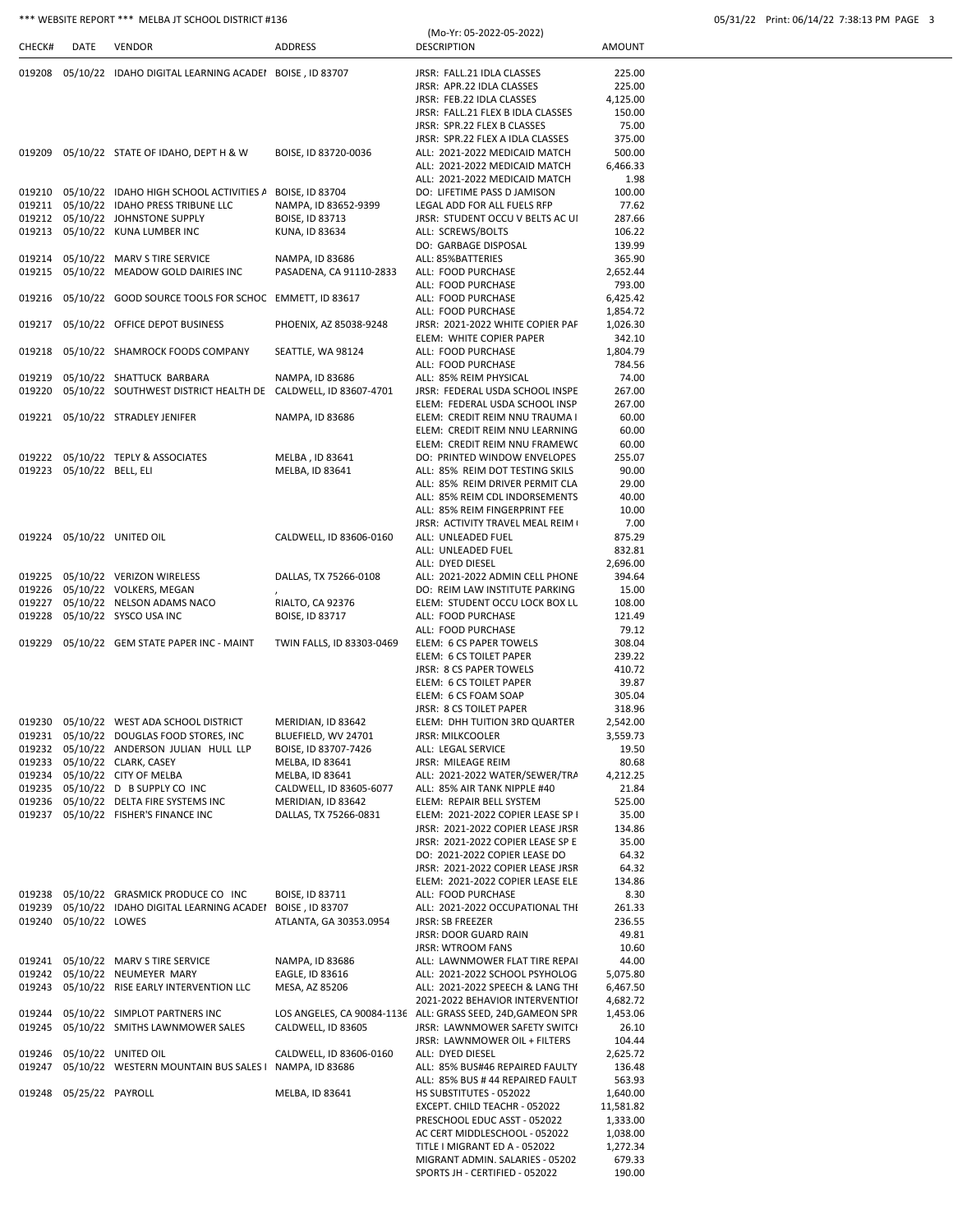# \*\*\* WEBSITE REPORT \*\*\* MELBA JT SCHOOL DISTRICT #136

|  | 05/31/22 Print: 06/14/22 7:38:13 PM PAGE 3 |  |  |  |
|--|--------------------------------------------|--|--|--|
|--|--------------------------------------------|--|--|--|

|        |                           |                                                               |                                           | (Mo-Yr: 05-2022-05-2022)                                    |               |
|--------|---------------------------|---------------------------------------------------------------|-------------------------------------------|-------------------------------------------------------------|---------------|
| CHECK# | DATE                      | <b>VENDOR</b>                                                 | <b>ADDRESS</b>                            | <b>DESCRIPTION</b>                                          | <b>AMOUNT</b> |
|        |                           |                                                               |                                           |                                                             |               |
| 019208 |                           | 05/10/22 IDAHO DIGITAL LEARNING ACADEI BOISE, ID 83707        |                                           | JRSR: FALL.21 IDLA CLASSES                                  | 225.00        |
|        |                           |                                                               |                                           | JRSR: APR.22 IDLA CLASSES                                   | 225.00        |
|        |                           |                                                               |                                           | JRSR: FEB.22 IDLA CLASSES                                   | 4,125.00      |
|        |                           |                                                               |                                           | JRSR: FALL.21 FLEX B IDLA CLASSES                           | 150.00        |
|        |                           |                                                               |                                           | JRSR: SPR.22 FLEX B CLASSES                                 | 75.00         |
|        |                           |                                                               |                                           | JRSR: SPR.22 FLEX A IDLA CLASSES                            | 375.00        |
|        |                           | 019209 05/10/22 STATE OF IDAHO, DEPT H & W                    | BOISE, ID 83720-0036                      | ALL: 2021-2022 MEDICAID MATCH                               | 500.00        |
|        |                           |                                                               |                                           | ALL: 2021-2022 MEDICAID MATCH                               | 6,466.33      |
|        |                           |                                                               |                                           | ALL: 2021-2022 MEDICAID MATCH                               | 1.98          |
| 019210 |                           | 05/10/22 IDAHO HIGH SCHOOL ACTIVITIES A BOISE, ID 83704       |                                           | DO: LIFETIME PASS D JAMISON                                 | 100.00        |
|        |                           | 019211 05/10/22 IDAHO PRESS TRIBUNE LLC                       | NAMPA, ID 83652-9399                      | LEGAL ADD FOR ALL FUELS RFP                                 | 77.62         |
|        |                           | 019212 05/10/22 JOHNSTONE SUPPLY                              | BOISE, ID 83713                           | JRSR: STUDENT OCCU V BELTS AC UI                            | 287.66        |
|        |                           | 019213 05/10/22 KUNA LUMBER INC                               | KUNA, ID 83634                            | ALL: SCREWS/BOLTS                                           | 106.22        |
|        |                           |                                                               |                                           | DO: GARBAGE DISPOSAL                                        | 139.99        |
| 019214 |                           | 05/10/22 MARV S TIRE SERVICE                                  | NAMPA, ID 83686                           | ALL: 85%BATTERIES                                           | 365.90        |
| 019215 |                           | 05/10/22 MEADOW GOLD DAIRIES INC                              | PASADENA, CA 91110-2833                   | ALL: FOOD PURCHASE                                          | 2,652.44      |
|        |                           |                                                               |                                           | ALL: FOOD PURCHASE                                          | 793.00        |
| 019216 |                           | 05/10/22 GOOD SOURCE TOOLS FOR SCHOC EMMETT, ID 83617         |                                           | ALL: FOOD PURCHASE                                          | 6,425.42      |
|        |                           |                                                               |                                           | ALL: FOOD PURCHASE                                          | 1,854.72      |
| 019217 |                           | 05/10/22 OFFICE DEPOT BUSINESS                                | PHOENIX, AZ 85038-9248                    | JRSR: 2021-2022 WHITE COPIER PAF                            | 1,026.30      |
|        |                           |                                                               |                                           | ELEM: WHITE COPIER PAPER                                    | 342.10        |
| 019218 |                           | 05/10/22 SHAMROCK FOODS COMPANY                               | SEATTLE, WA 98124                         | ALL: FOOD PURCHASE                                          | 1,804.79      |
|        |                           |                                                               |                                           | ALL: FOOD PURCHASE                                          | 784.56        |
| 019219 |                           | 05/10/22 SHATTUCK BARBARA                                     | NAMPA, ID 83686                           | ALL: 85% REIM PHYSICAL                                      | 74.00         |
| 019220 |                           | 05/10/22 SOUTHWEST DISTRICT HEALTH DE CALDWELL, ID 83607-4701 |                                           | JRSR: FEDERAL USDA SCHOOL INSPE                             |               |
|        |                           |                                                               |                                           |                                                             | 267.00        |
|        |                           |                                                               |                                           | ELEM: FEDERAL USDA SCHOOL INSP                              | 267.00        |
|        |                           | 019221 05/10/22 STRADLEY JENIFER                              | NAMPA, ID 83686                           | ELEM: CREDIT REIM NNU TRAUMA I                              | 60.00         |
|        |                           |                                                               |                                           | ELEM: CREDIT REIM NNU LEARNING                              | 60.00         |
|        |                           |                                                               |                                           | ELEM: CREDIT REIM NNU FRAMEW(                               | 60.00         |
| 019222 |                           | 05/10/22 TEPLY & ASSOCIATES                                   | MELBA, ID 83641                           | DO: PRINTED WINDOW ENVELOPES                                | 255.07        |
|        | 019223 05/10/22 BELL, ELI |                                                               | MELBA, ID 83641                           | ALL: 85% REIM DOT TESTING SKILS                             | 90.00         |
|        |                           |                                                               |                                           | ALL: 85% REIM DRIVER PERMIT CLA                             | 29.00         |
|        |                           |                                                               |                                           | ALL: 85% REIM CDL INDORSEMENTS                              | 40.00         |
|        |                           |                                                               |                                           | ALL: 85% REIM FINGERPRINT FEE                               | 10.00         |
|        |                           |                                                               |                                           | JRSR: ACTIVITY TRAVEL MEAL REIM                             | 7.00          |
|        |                           | 019224 05/10/22 UNITED OIL                                    | CALDWELL, ID 83606-0160                   | ALL: UNLEADED FUEL                                          | 875.29        |
|        |                           |                                                               |                                           | ALL: UNLEADED FUEL                                          | 832.81        |
|        |                           |                                                               |                                           | ALL: DYED DIESEL                                            | 2,696.00      |
|        |                           | 019225 05/10/22 VERIZON WIRELESS                              | DALLAS, TX 75266-0108                     | ALL: 2021-2022 ADMIN CELL PHONE                             | 394.64        |
| 019226 |                           | 05/10/22 VOLKERS, MEGAN                                       |                                           | DO: REIM LAW INSTITUTE PARKING                              | 15.00         |
| 019227 |                           | 05/10/22 NELSON ADAMS NACO                                    | RIALTO, CA 92376                          | ELEM: STUDENT OCCU LOCK BOX LL                              | 108.00        |
| 019228 |                           | 05/10/22 SYSCO USA INC                                        | <b>BOISE, ID 83717</b>                    | ALL: FOOD PURCHASE                                          | 121.49        |
|        |                           |                                                               |                                           | ALL: FOOD PURCHASE                                          | 79.12         |
| 019229 |                           | 05/10/22 GEM STATE PAPER INC - MAINT                          | TWIN FALLS, ID 83303-0469                 | ELEM: 6 CS PAPER TOWELS                                     | 308.04        |
|        |                           |                                                               |                                           | ELEM: 6 CS TOILET PAPER                                     | 239.22        |
|        |                           |                                                               |                                           | <b>JRSR: 8 CS PAPER TOWELS</b>                              | 410.72        |
|        |                           |                                                               |                                           | ELEM: 6 CS TOILET PAPER                                     | 39.87         |
|        |                           |                                                               |                                           | ELEM: 6 CS FOAM SOAP                                        | 305.04        |
|        |                           |                                                               |                                           | <b>JRSR: 8 CS TOILET PAPER</b>                              | 318.96        |
|        |                           | 019230 05/10/22 WEST ADA SCHOOL DISTRICT                      |                                           |                                                             |               |
|        |                           |                                                               | MERIDIAN, ID 83642<br>BLUEFIELD, WV 24701 | ELEM: DHH TUITION 3RD QUARTER                               | 2,542.00      |
|        |                           | 019231 05/10/22 DOUGLAS FOOD STORES, INC                      |                                           | <b>JRSR: MILKCOOLER</b>                                     | 3,559.73      |
|        |                           | 019232 05/10/22 ANDERSON JULIAN HULL LLP                      | BOISE, ID 83707-7426                      | ALL: LEGAL SERVICE                                          | 19.50         |
| 019233 |                           | 05/10/22 CLARK, CASEY                                         | MELBA, ID 83641                           | JRSR: MILEAGE REIM                                          | 80.68         |
|        |                           | 019234 05/10/22 CITY OF MELBA                                 | MELBA, ID 83641                           | ALL: 2021-2022 WATER/SEWER/TRA                              | 4,212.25      |
|        |                           | 019235 05/10/22 D B SUPPLY CO INC                             | CALDWELL, ID 83605-6077                   | ALL: 85% AIR TANK NIPPLE #40                                | 21.84         |
|        |                           | 019236 05/10/22 DELTA FIRE SYSTEMS INC                        | MERIDIAN, ID 83642                        | ELEM: REPAIR BELL SYSTEM                                    | 525.00        |
|        |                           | 019237 05/10/22 FISHER'S FINANCE INC                          | DALLAS, TX 75266-0831                     | ELEM: 2021-2022 COPIER LEASE SP I                           | 35.00         |
|        |                           |                                                               |                                           | JRSR: 2021-2022 COPIER LEASE JRSR                           | 134.86        |
|        |                           |                                                               |                                           | JRSR: 2021-2022 COPIER LEASE SP E                           | 35.00         |
|        |                           |                                                               |                                           | DO: 2021-2022 COPIER LEASE DO                               | 64.32         |
|        |                           |                                                               |                                           | JRSR: 2021-2022 COPIER LEASE JRSR                           | 64.32         |
|        |                           |                                                               |                                           | ELEM: 2021-2022 COPIER LEASE ELE                            | 134.86        |
|        |                           | 019238 05/10/22 GRASMICK PRODUCE CO INC                       | BOISE, ID 83711                           | ALL: FOOD PURCHASE                                          | 8.30          |
| 019239 |                           | 05/10/22 IDAHO DIGITAL LEARNING ACADEI BOISE, ID 83707        |                                           | ALL: 2021-2022 OCCUPATIONAL THI                             | 261.33        |
| 019240 | 05/10/22 LOWES            |                                                               | ATLANTA, GA 30353.0954                    | <b>JRSR: SB FREEZER</b>                                     | 236.55        |
|        |                           |                                                               |                                           | JRSR: DOOR GUARD RAIN                                       | 49.81         |
|        |                           |                                                               |                                           | <b>JRSR: WTROOM FANS</b>                                    | 10.60         |
|        |                           | 019241 05/10/22 MARV S TIRE SERVICE                           | NAMPA, ID 83686                           | ALL: LAWNMOWER FLAT TIRE REPAI                              | 44.00         |
|        |                           | 019242 05/10/22 NEUMEYER MARY                                 | EAGLE, ID 83616                           | ALL: 2021-2022 SCHOOL PSYHOLOG                              | 5,075.80      |
| 019243 |                           | 05/10/22 RISE EARLY INTERVENTION LLC                          | MESA, AZ 85206                            | ALL: 2021-2022 SPEECH & LANG THI                            | 6,467.50      |
|        |                           |                                                               |                                           | 2021-2022 BEHAVIOR INTERVENTIOI                             | 4,682.72      |
| 019244 |                           | 05/10/22 SIMPLOT PARTNERS INC                                 |                                           | LOS ANGELES, CA 90084-1136 ALL: GRASS SEED, 24D, GAMEON SPR | 1,453.06      |
| 019245 |                           | 05/10/22 SMITHS LAWNMOWER SALES                               | CALDWELL, ID 83605                        | JRSR: LAWNMOWER SAFETY SWITCH                               | 26.10         |
|        |                           |                                                               |                                           | JRSR: LAWNMOWER OIL + FILTERS                               | 104.44        |
| 019246 |                           | 05/10/22 UNITED OIL                                           | CALDWELL, ID 83606-0160                   | ALL: DYED DIESEL                                            | 2,625.72      |
| 019247 |                           | 05/10/22 WESTERN MOUNTAIN BUS SALES I NAMPA, ID 83686         |                                           | ALL: 85% BUS#46 REPAIRED FAULTY                             | 136.48        |
|        |                           |                                                               |                                           | ALL: 85% BUS #44 REPAIRED FAULT                             | 563.93        |
|        | 019248 05/25/22 PAYROLL   |                                                               | MELBA, ID 83641                           | HS SUBSTITUTES - 052022                                     | 1,640.00      |
|        |                           |                                                               |                                           | EXCEPT. CHILD TEACHR - 052022                               | 11,581.82     |
|        |                           |                                                               |                                           | PRESCHOOL EDUC ASST - 052022                                | 1,333.00      |
|        |                           |                                                               |                                           | AC CERT MIDDLESCHOOL - 052022                               | 1,038.00      |
|        |                           |                                                               |                                           | TITLE I MIGRANT ED A - 052022                               | 1,272.34      |
|        |                           |                                                               |                                           | MIGRANT ADMIN. SALARIES - 05202                             | 679.33        |
|        |                           |                                                               |                                           | SPORTS JH - CERTIFIED - 052022                              | 190.00        |
|        |                           |                                                               |                                           |                                                             |               |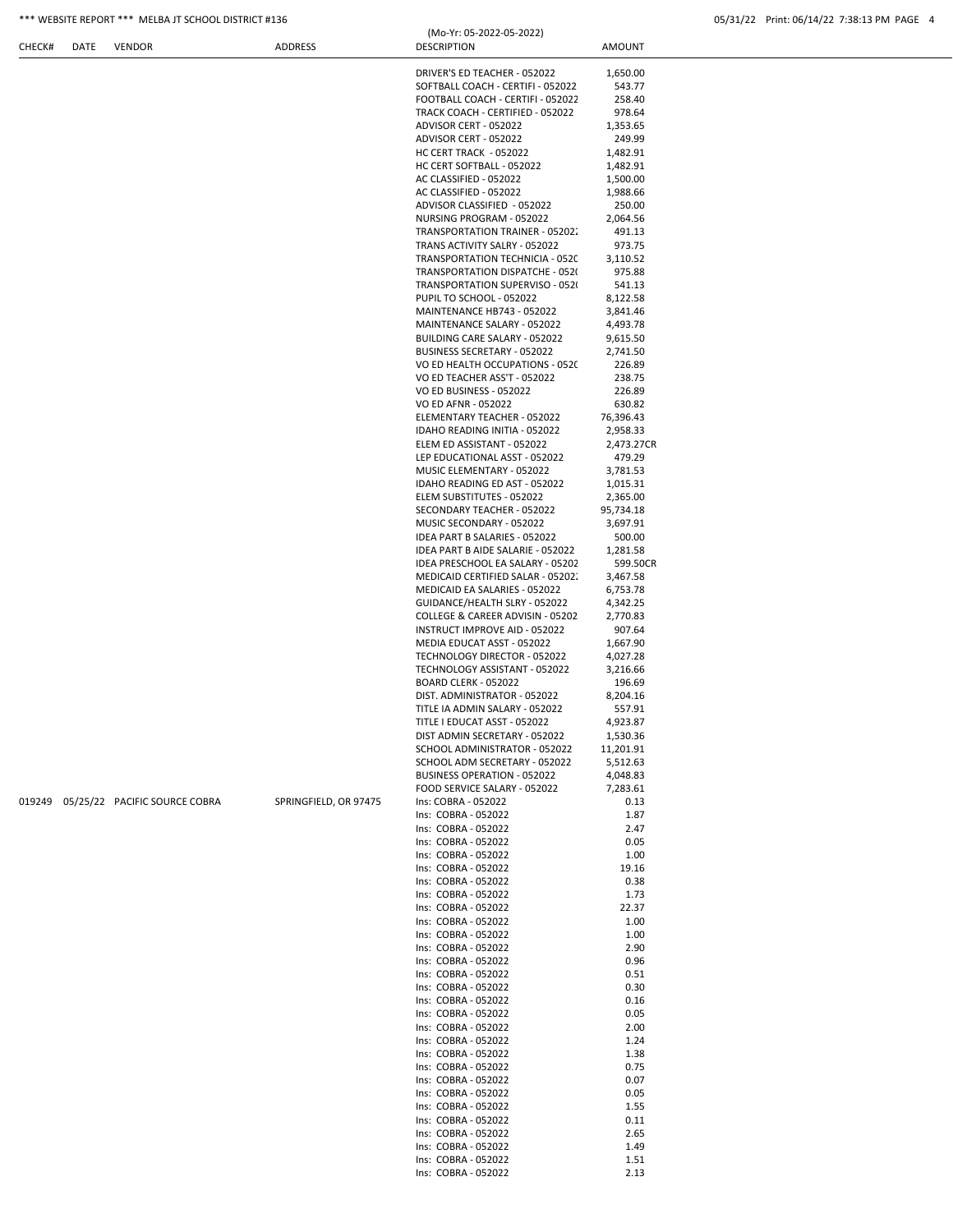| CHECK# | DATE | VENDOR                               | ADDRESS               | <b>DESCRIPTION</b>                                               | <b>AMOUNT</b>          |  |
|--------|------|--------------------------------------|-----------------------|------------------------------------------------------------------|------------------------|--|
|        |      |                                      |                       | DRIVER'S ED TEACHER - 052022                                     | 1,650.00               |  |
|        |      |                                      |                       | SOFTBALL COACH - CERTIFI - 052022                                | 543.77                 |  |
|        |      |                                      |                       | FOOTBALL COACH - CERTIFI - 052022                                | 258.40                 |  |
|        |      |                                      |                       | TRACK COACH - CERTIFIED - 052022                                 | 978.64                 |  |
|        |      |                                      |                       | ADVISOR CERT - 052022                                            | 1,353.65               |  |
|        |      |                                      |                       | ADVISOR CERT - 052022                                            | 249.99                 |  |
|        |      |                                      |                       | HC CERT TRACK - 052022                                           | 1,482.91               |  |
|        |      |                                      |                       | HC CERT SOFTBALL - 052022<br>AC CLASSIFIED - 052022              | 1,482.91<br>1,500.00   |  |
|        |      |                                      |                       | AC CLASSIFIED - 052022                                           | 1,988.66               |  |
|        |      |                                      |                       | ADVISOR CLASSIFIED - 052022                                      | 250.00                 |  |
|        |      |                                      |                       | NURSING PROGRAM - 052022                                         | 2,064.56               |  |
|        |      |                                      |                       | TRANSPORTATION TRAINER - 05202.                                  | 491.13                 |  |
|        |      |                                      |                       | TRANS ACTIVITY SALRY - 052022<br>TRANSPORTATION TECHNICIA - 0520 | 973.75<br>3,110.52     |  |
|        |      |                                      |                       | TRANSPORTATION DISPATCHE - 0520                                  | 975.88                 |  |
|        |      |                                      |                       | TRANSPORTATION SUPERVISO - 052                                   | 541.13                 |  |
|        |      |                                      |                       | PUPIL TO SCHOOL - 052022                                         | 8,122.58               |  |
|        |      |                                      |                       | MAINTENANCE HB743 - 052022                                       | 3,841.46               |  |
|        |      |                                      |                       | MAINTENANCE SALARY - 052022                                      | 4,493.78               |  |
|        |      |                                      |                       | BUILDING CARE SALARY - 052022<br>BUSINESS SECRETARY - 052022     | 9,615.50<br>2,741.50   |  |
|        |      |                                      |                       | VO ED HEALTH OCCUPATIONS - 0520                                  | 226.89                 |  |
|        |      |                                      |                       | VO ED TEACHER ASS'T - 052022                                     | 238.75                 |  |
|        |      |                                      |                       | VO ED BUSINESS - 052022                                          | 226.89                 |  |
|        |      |                                      |                       | VO ED AFNR - 052022                                              | 630.82                 |  |
|        |      |                                      |                       | ELEMENTARY TEACHER - 052022                                      | 76,396.43              |  |
|        |      |                                      |                       | IDAHO READING INITIA - 052022<br>ELEM ED ASSISTANT - 052022      | 2,958.33<br>2,473.27CR |  |
|        |      |                                      |                       | LEP EDUCATIONAL ASST - 052022                                    | 479.29                 |  |
|        |      |                                      |                       | MUSIC ELEMENTARY - 052022                                        | 3,781.53               |  |
|        |      |                                      |                       | IDAHO READING ED AST - 052022                                    | 1,015.31               |  |
|        |      |                                      |                       | ELEM SUBSTITUTES - 052022                                        | 2,365.00               |  |
|        |      |                                      |                       | SECONDARY TEACHER - 052022<br>MUSIC SECONDARY - 052022           | 95,734.18<br>3,697.91  |  |
|        |      |                                      |                       | IDEA PART B SALARIES - 052022                                    | 500.00                 |  |
|        |      |                                      |                       | IDEA PART B AIDE SALARIE - 052022                                | 1,281.58               |  |
|        |      |                                      |                       | IDEA PRESCHOOL EA SALARY - 05202                                 | 599.50CR               |  |
|        |      |                                      |                       | MEDICAID CERTIFIED SALAR - 05202.                                | 3,467.58               |  |
|        |      |                                      |                       | MEDICAID EA SALARIES - 052022<br>GUIDANCE/HEALTH SLRY - 052022   | 6,753.78<br>4,342.25   |  |
|        |      |                                      |                       | COLLEGE & CAREER ADVISIN - 05202                                 | 2,770.83               |  |
|        |      |                                      |                       | INSTRUCT IMPROVE AID - 052022                                    | 907.64                 |  |
|        |      |                                      |                       | MEDIA EDUCAT ASST - 052022                                       | 1,667.90               |  |
|        |      |                                      |                       | TECHNOLOGY DIRECTOR - 052022                                     | 4,027.28               |  |
|        |      |                                      |                       | TECHNOLOGY ASSISTANT - 052022<br>BOARD CLERK - 052022            | 3,216.66<br>196.69     |  |
|        |      |                                      |                       | DIST. ADMINISTRATOR - 052022                                     | 8,204.16               |  |
|        |      |                                      |                       | TITLE IA ADMIN SALARY - 052022                                   | 557.91                 |  |
|        |      |                                      |                       | TITLE I EDUCAT ASST - 052022                                     | 4,923.87               |  |
|        |      |                                      |                       | DIST ADMIN SECRETARY - 052022                                    | 1,530.36               |  |
|        |      |                                      |                       | SCHOOL ADMINISTRATOR - 052022<br>SCHOOL ADM SECRETARY - 052022   | 11,201.91<br>5,512.63  |  |
|        |      |                                      |                       | <b>BUSINESS OPERATION - 052022</b>                               | 4,048.83               |  |
|        |      |                                      |                       | FOOD SERVICE SALARY - 052022                                     | 7,283.61               |  |
|        |      | 019249 05/25/22 PACIFIC SOURCE COBRA | SPRINGFIELD, OR 97475 | Ins: COBRA - 052022                                              | 0.13                   |  |
|        |      |                                      |                       | Ins: COBRA - 052022                                              | 1.87                   |  |
|        |      |                                      |                       | Ins: COBRA - 052022<br>Ins: COBRA - 052022                       | 2.47<br>0.05           |  |
|        |      |                                      |                       | Ins: COBRA - 052022                                              | 1.00                   |  |
|        |      |                                      |                       | Ins: COBRA - 052022                                              | 19.16                  |  |
|        |      |                                      |                       | Ins: COBRA - 052022                                              | 0.38                   |  |
|        |      |                                      |                       | Ins: COBRA - 052022                                              | 1.73                   |  |
|        |      |                                      |                       | Ins: COBRA - 052022<br>Ins: COBRA - 052022                       | 22.37<br>1.00          |  |
|        |      |                                      |                       | Ins: COBRA - 052022                                              | 1.00                   |  |
|        |      |                                      |                       | Ins: COBRA - 052022                                              | 2.90                   |  |
|        |      |                                      |                       | Ins: COBRA - 052022                                              | 0.96                   |  |
|        |      |                                      |                       | Ins: COBRA - 052022                                              | 0.51                   |  |
|        |      |                                      |                       | Ins: COBRA - 052022<br>Ins: COBRA - 052022                       | 0.30<br>0.16           |  |
|        |      |                                      |                       | Ins: COBRA - 052022                                              | 0.05                   |  |
|        |      |                                      |                       | Ins: COBRA - 052022                                              | 2.00                   |  |
|        |      |                                      |                       | Ins: COBRA - 052022                                              | 1.24                   |  |
|        |      |                                      |                       | Ins: COBRA - 052022<br>Ins: COBRA - 052022                       | 1.38<br>0.75           |  |
|        |      |                                      |                       | Ins: COBRA - 052022                                              | 0.07                   |  |
|        |      |                                      |                       | Ins: COBRA - 052022                                              | 0.05                   |  |
|        |      |                                      |                       | Ins: COBRA - 052022                                              | 1.55                   |  |
|        |      |                                      |                       | Ins: COBRA - 052022<br>Ins: COBRA - 052022                       | 0.11                   |  |
|        |      |                                      |                       | Ins: COBRA - 052022                                              | 2.65<br>1.49           |  |
|        |      |                                      |                       | Ins: COBRA - 052022                                              | 1.51                   |  |
|        |      |                                      |                       | Ins: COBRA - 052022                                              | 2.13                   |  |

(Mo-Yr: 05-2022-05-2022)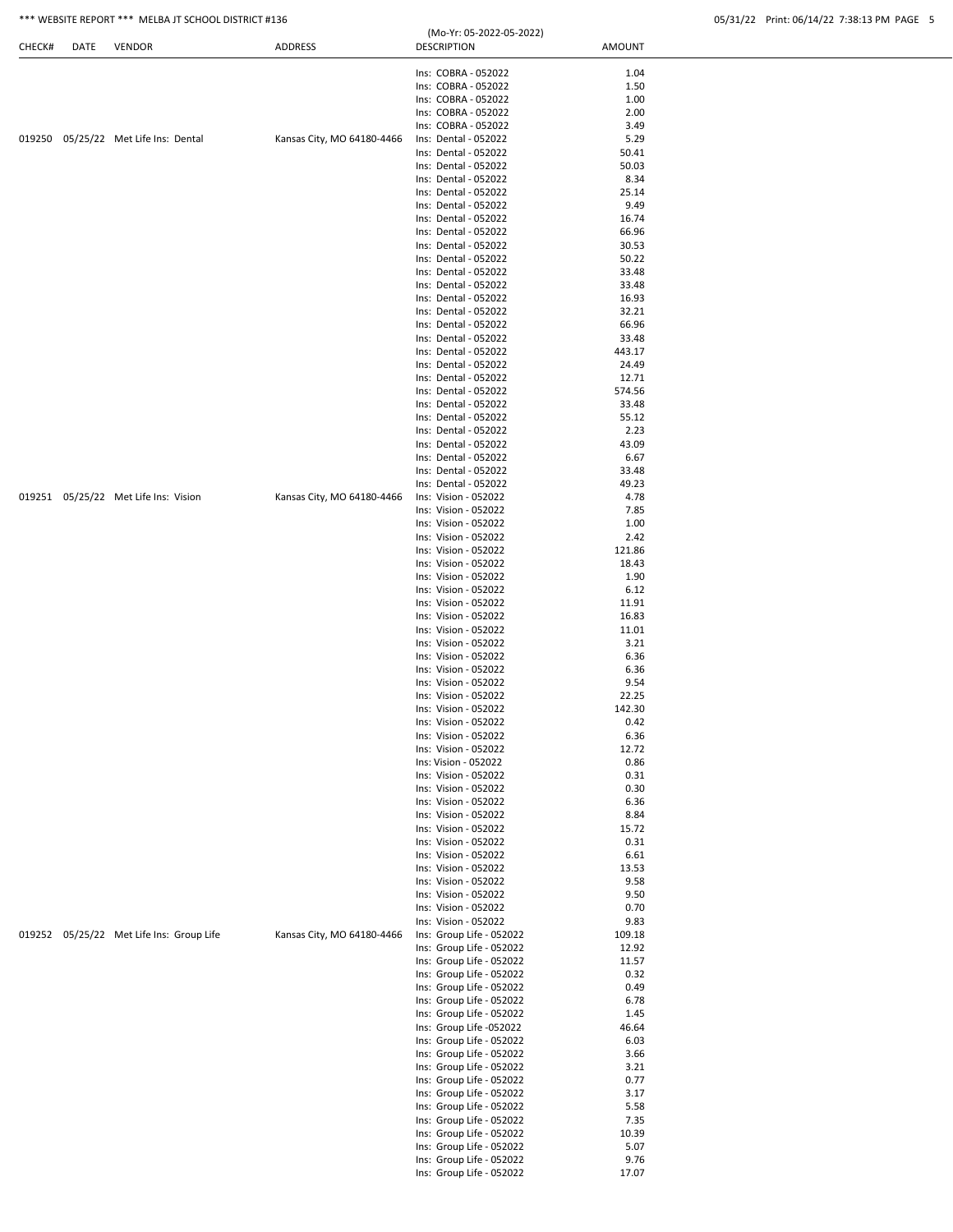|  | 05/31/22 Print: 06/14/22 7:38:13 PM PAGE 5 |  |  |  |
|--|--------------------------------------------|--|--|--|
|  |                                            |  |  |  |

|        |      | *** WEBSITE REPORT *** MELBA JT SCHOOL DISTRICT #136 |                            |                                                      |                | 05/31/22 Print: 06/14/22 7:38:13 PM PAGE 5 |
|--------|------|------------------------------------------------------|----------------------------|------------------------------------------------------|----------------|--------------------------------------------|
| CHECK# | DATE | VENDOR                                               | <b>ADDRESS</b>             | (Mo-Yr: 05-2022-05-2022)<br><b>DESCRIPTION</b>       | AMOUNT         |                                            |
|        |      |                                                      |                            | Ins: COBRA - 052022                                  | 1.04           |                                            |
|        |      |                                                      |                            | Ins: COBRA - 052022                                  | 1.50           |                                            |
|        |      |                                                      |                            | Ins: COBRA - 052022                                  | 1.00           |                                            |
|        |      |                                                      |                            | Ins: COBRA - 052022                                  | 2.00           |                                            |
|        |      |                                                      |                            | Ins: COBRA - 052022                                  | 3.49           |                                            |
|        |      | 019250 05/25/22 Met Life Ins: Dental                 | Kansas City, MO 64180-4466 | Ins: Dental - 052022                                 | 5.29           |                                            |
|        |      |                                                      |                            | Ins: Dental - 052022<br>Ins: Dental - 052022         | 50.41          |                                            |
|        |      |                                                      |                            | Ins: Dental - 052022                                 | 50.03<br>8.34  |                                            |
|        |      |                                                      |                            | Ins: Dental - 052022                                 | 25.14          |                                            |
|        |      |                                                      |                            | Ins: Dental - 052022                                 | 9.49           |                                            |
|        |      |                                                      |                            | Ins: Dental - 052022                                 | 16.74          |                                            |
|        |      |                                                      |                            | Ins: Dental - 052022                                 | 66.96          |                                            |
|        |      |                                                      |                            | Ins: Dental - 052022                                 | 30.53          |                                            |
|        |      |                                                      |                            | Ins: Dental - 052022                                 | 50.22          |                                            |
|        |      |                                                      |                            | Ins: Dental - 052022                                 | 33.48          |                                            |
|        |      |                                                      |                            | Ins: Dental - 052022<br>Ins: Dental - 052022         | 33.48<br>16.93 |                                            |
|        |      |                                                      |                            | Ins: Dental - 052022                                 | 32.21          |                                            |
|        |      |                                                      |                            | Ins: Dental - 052022                                 | 66.96          |                                            |
|        |      |                                                      |                            | Ins: Dental - 052022                                 | 33.48          |                                            |
|        |      |                                                      |                            | Ins: Dental - 052022                                 | 443.17         |                                            |
|        |      |                                                      |                            | Ins: Dental - 052022                                 | 24.49          |                                            |
|        |      |                                                      |                            | Ins: Dental - 052022                                 | 12.71          |                                            |
|        |      |                                                      |                            | Ins: Dental - 052022                                 | 574.56         |                                            |
|        |      |                                                      |                            | Ins: Dental - 052022                                 | 33.48          |                                            |
|        |      |                                                      |                            | Ins: Dental - 052022                                 | 55.12          |                                            |
|        |      |                                                      |                            | Ins: Dental - 052022<br>Ins: Dental - 052022         | 2.23<br>43.09  |                                            |
|        |      |                                                      |                            | Ins: Dental - 052022                                 | 6.67           |                                            |
|        |      |                                                      |                            | Ins: Dental - 052022                                 | 33.48          |                                            |
|        |      |                                                      |                            | Ins: Dental - 052022                                 | 49.23          |                                            |
|        |      | 019251 05/25/22 Met Life Ins: Vision                 | Kansas City, MO 64180-4466 | Ins: Vision - 052022                                 | 4.78           |                                            |
|        |      |                                                      |                            | Ins: Vision - 052022                                 | 7.85           |                                            |
|        |      |                                                      |                            | Ins: Vision - 052022                                 | 1.00           |                                            |
|        |      |                                                      |                            | Ins: Vision - 052022                                 | 2.42           |                                            |
|        |      |                                                      |                            | Ins: Vision - 052022                                 | 121.86         |                                            |
|        |      |                                                      |                            | Ins: Vision - 052022<br>Ins: Vision - 052022         | 18.43<br>1.90  |                                            |
|        |      |                                                      |                            | Ins: Vision - 052022                                 | 6.12           |                                            |
|        |      |                                                      |                            | Ins: Vision - 052022                                 | 11.91          |                                            |
|        |      |                                                      |                            | Ins: Vision - 052022                                 | 16.83          |                                            |
|        |      |                                                      |                            | Ins: Vision - 052022                                 | 11.01          |                                            |
|        |      |                                                      |                            | Ins: Vision - 052022                                 | 3.21           |                                            |
|        |      |                                                      |                            | Ins: Vision - 052022                                 | 6.36           |                                            |
|        |      |                                                      |                            | Ins: Vision - 052022                                 | 6.36           |                                            |
|        |      |                                                      |                            | Ins: Vision - 052022<br>Ins: Vision - 052022         | 9.54<br>22.25  |                                            |
|        |      |                                                      |                            | Ins: Vision - 052022                                 | 142.30         |                                            |
|        |      |                                                      |                            | Ins: Vision - 052022                                 | 0.42           |                                            |
|        |      |                                                      |                            | Ins: Vision - 052022                                 | 6.36           |                                            |
|        |      |                                                      |                            | Ins: Vision - 052022                                 | 12.72          |                                            |
|        |      |                                                      |                            | Ins: Vision - 052022                                 | 0.86           |                                            |
|        |      |                                                      |                            | Ins: Vision - 052022                                 | 0.31           |                                            |
|        |      |                                                      |                            | Ins: Vision - 052022                                 | 0.30           |                                            |
|        |      |                                                      |                            | Ins: Vision - 052022                                 | 6.36           |                                            |
|        |      |                                                      |                            | Ins: Vision - 052022                                 | 8.84<br>15.72  |                                            |
|        |      |                                                      |                            | Ins: Vision - 052022<br>Ins: Vision - 052022         | 0.31           |                                            |
|        |      |                                                      |                            | Ins: Vision - 052022                                 | 6.61           |                                            |
|        |      |                                                      |                            | Ins: Vision - 052022                                 | 13.53          |                                            |
|        |      |                                                      |                            | Ins: Vision - 052022                                 | 9.58           |                                            |
|        |      |                                                      |                            | Ins: Vision - 052022                                 | 9.50           |                                            |
|        |      |                                                      |                            | Ins: Vision - 052022                                 | 0.70           |                                            |
|        |      |                                                      |                            | Ins: Vision - 052022                                 | 9.83           |                                            |
|        |      | 019252 05/25/22 Met Life Ins: Group Life             | Kansas City, MO 64180-4466 | Ins: Group Life - 052022                             | 109.18         |                                            |
|        |      |                                                      |                            | Ins: Group Life - 052022<br>Ins: Group Life - 052022 | 12.92<br>11.57 |                                            |
|        |      |                                                      |                            | Ins: Group Life - 052022                             | 0.32           |                                            |
|        |      |                                                      |                            | Ins: Group Life - 052022                             | 0.49           |                                            |
|        |      |                                                      |                            | Ins: Group Life - 052022                             | 6.78           |                                            |
|        |      |                                                      |                            | Ins: Group Life - 052022                             | 1.45           |                                            |
|        |      |                                                      |                            | Ins: Group Life -052022                              | 46.64          |                                            |
|        |      |                                                      |                            | Ins: Group Life - 052022                             | 6.03           |                                            |
|        |      |                                                      |                            | Ins: Group Life - 052022                             | 3.66           |                                            |
|        |      |                                                      |                            | Ins: Group Life - 052022<br>Ins: Group Life - 052022 | 3.21<br>0.77   |                                            |
|        |      |                                                      |                            | Ins: Group Life - 052022                             | 3.17           |                                            |
|        |      |                                                      |                            | Ins: Group Life - 052022                             | 5.58           |                                            |
|        |      |                                                      |                            | Ins: Group Life - 052022                             | 7.35           |                                            |
|        |      |                                                      |                            | Ins: Group Life - 052022                             | 10.39          |                                            |
|        |      |                                                      |                            | Ins: Group Life - 052022                             | 5.07           |                                            |
|        |      |                                                      |                            | Ins: Group Life - 052022                             | 9.76           |                                            |
|        |      |                                                      |                            | Ins: Group Life - 052022                             | 17.07          |                                            |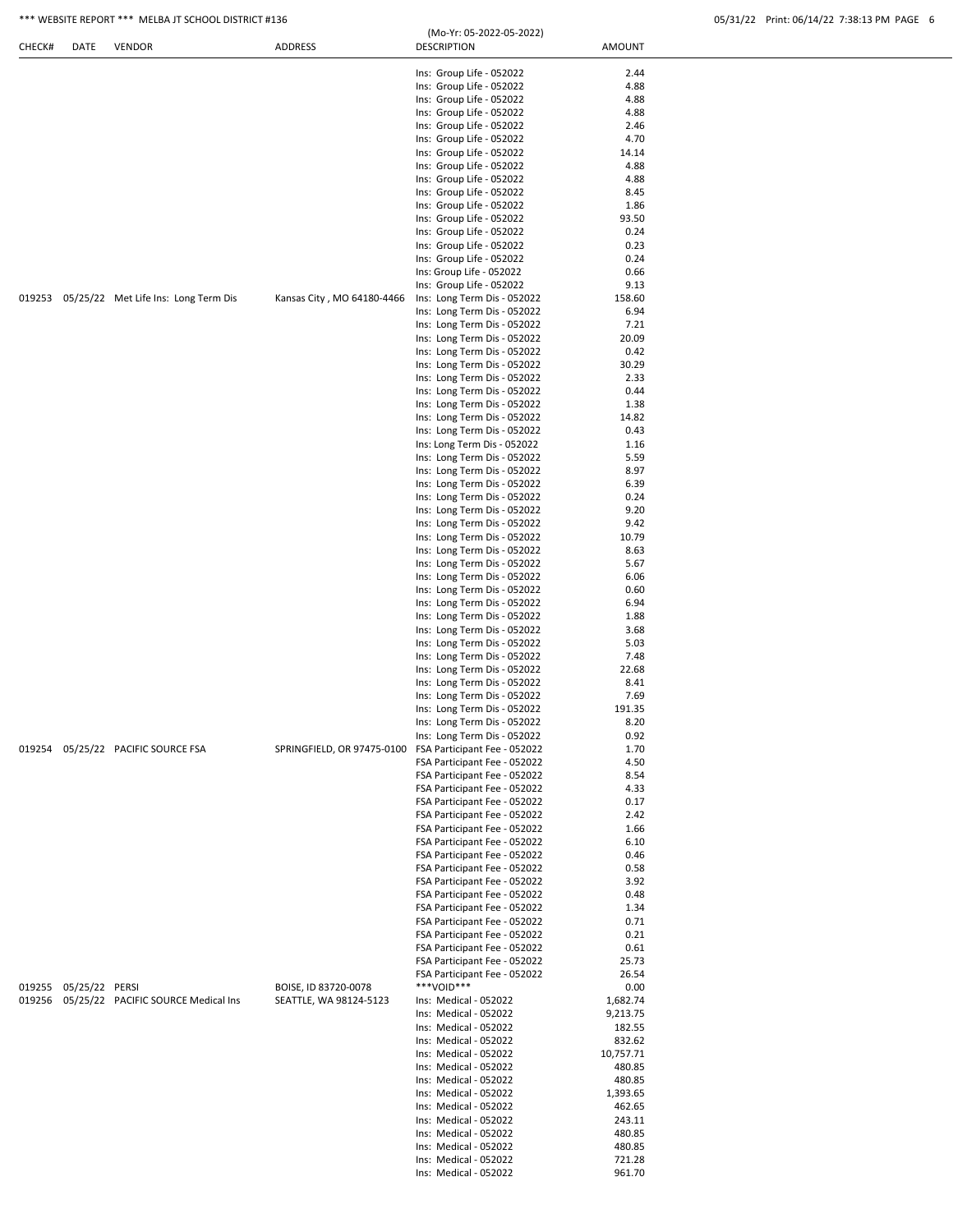| CHECK# | DATE                  | <b>VENDOR</b>                               | ADDRESS                                                 | <b>DESCRIPTION</b>                                           | AMOUNT           |  |
|--------|-----------------------|---------------------------------------------|---------------------------------------------------------|--------------------------------------------------------------|------------------|--|
|        |                       |                                             |                                                         | Ins: Group Life - 052022                                     | 2.44             |  |
|        |                       |                                             |                                                         | Ins: Group Life - 052022                                     | 4.88             |  |
|        |                       |                                             |                                                         | Ins: Group Life - 052022                                     | 4.88             |  |
|        |                       |                                             |                                                         | Ins: Group Life - 052022                                     | 4.88             |  |
|        |                       |                                             |                                                         | Ins: Group Life - 052022<br>Ins: Group Life - 052022         | 2.46             |  |
|        |                       |                                             |                                                         | Ins: Group Life - 052022                                     | 4.70<br>14.14    |  |
|        |                       |                                             |                                                         | Ins: Group Life - 052022                                     | 4.88             |  |
|        |                       |                                             |                                                         | Ins: Group Life - 052022                                     | 4.88             |  |
|        |                       |                                             |                                                         | Ins: Group Life - 052022                                     | 8.45             |  |
|        |                       |                                             |                                                         | Ins: Group Life - 052022                                     | 1.86             |  |
|        |                       |                                             |                                                         | Ins: Group Life - 052022                                     | 93.50            |  |
|        |                       |                                             |                                                         | Ins: Group Life - 052022                                     | 0.24<br>0.23     |  |
|        |                       |                                             |                                                         | Ins: Group Life - 052022<br>Ins: Group Life - 052022         | 0.24             |  |
|        |                       |                                             |                                                         | Ins: Group Life - 052022                                     | 0.66             |  |
|        |                       |                                             |                                                         | Ins: Group Life - 052022                                     | 9.13             |  |
|        |                       | 019253 05/25/22 Met Life Ins: Long Term Dis | Kansas City, MO 64180-4466                              | Ins: Long Term Dis - 052022                                  | 158.60           |  |
|        |                       |                                             |                                                         | Ins: Long Term Dis - 052022                                  | 6.94             |  |
|        |                       |                                             |                                                         | Ins: Long Term Dis - 052022                                  | 7.21             |  |
|        |                       |                                             |                                                         | Ins: Long Term Dis - 052022                                  | 20.09            |  |
|        |                       |                                             |                                                         | Ins: Long Term Dis - 052022<br>Ins: Long Term Dis - 052022   | 0.42<br>30.29    |  |
|        |                       |                                             |                                                         | Ins: Long Term Dis - 052022                                  | 2.33             |  |
|        |                       |                                             |                                                         | Ins: Long Term Dis - 052022                                  | 0.44             |  |
|        |                       |                                             |                                                         | Ins: Long Term Dis - 052022                                  | 1.38             |  |
|        |                       |                                             |                                                         | Ins: Long Term Dis - 052022                                  | 14.82            |  |
|        |                       |                                             |                                                         | Ins: Long Term Dis - 052022                                  | 0.43             |  |
|        |                       |                                             |                                                         | Ins: Long Term Dis - 052022                                  | 1.16             |  |
|        |                       |                                             |                                                         | Ins: Long Term Dis - 052022                                  | 5.59             |  |
|        |                       |                                             |                                                         | Ins: Long Term Dis - 052022                                  | 8.97<br>6.39     |  |
|        |                       |                                             |                                                         | Ins: Long Term Dis - 052022<br>Ins: Long Term Dis - 052022   | 0.24             |  |
|        |                       |                                             |                                                         | Ins: Long Term Dis - 052022                                  | 9.20             |  |
|        |                       |                                             |                                                         | Ins: Long Term Dis - 052022                                  | 9.42             |  |
|        |                       |                                             |                                                         | Ins: Long Term Dis - 052022                                  | 10.79            |  |
|        |                       |                                             |                                                         | Ins: Long Term Dis - 052022                                  | 8.63             |  |
|        |                       |                                             |                                                         | Ins: Long Term Dis - 052022                                  | 5.67             |  |
|        |                       |                                             |                                                         | Ins: Long Term Dis - 052022                                  | 6.06             |  |
|        |                       |                                             |                                                         | Ins: Long Term Dis - 052022<br>Ins: Long Term Dis - 052022   | 0.60<br>6.94     |  |
|        |                       |                                             |                                                         | Ins: Long Term Dis - 052022                                  | 1.88             |  |
|        |                       |                                             |                                                         | Ins: Long Term Dis - 052022                                  | 3.68             |  |
|        |                       |                                             |                                                         | Ins: Long Term Dis - 052022                                  | 5.03             |  |
|        |                       |                                             |                                                         | Ins: Long Term Dis - 052022                                  | 7.48             |  |
|        |                       |                                             |                                                         | Ins: Long Term Dis - 052022                                  | 22.68            |  |
|        |                       |                                             |                                                         | Ins: Long Term Dis - 052022                                  | 8.41             |  |
|        |                       |                                             |                                                         | Ins: Long Term Dis - 052022                                  | 7.69             |  |
|        |                       |                                             |                                                         | Ins: Long Term Dis - 052022<br>Ins: Long Term Dis - 052022   | 191.35<br>8.20   |  |
|        |                       |                                             |                                                         | Ins: Long Term Dis - 052022                                  | 0.92             |  |
|        |                       | 019254 05/25/22 PACIFIC SOURCE FSA          | SPRINGFIELD, OR 97475-0100 FSA Participant Fee - 052022 |                                                              | 1.70             |  |
|        |                       |                                             |                                                         | FSA Participant Fee - 052022                                 | 4.50             |  |
|        |                       |                                             |                                                         | FSA Participant Fee - 052022                                 | 8.54             |  |
|        |                       |                                             |                                                         | FSA Participant Fee - 052022                                 | 4.33             |  |
|        |                       |                                             |                                                         | FSA Participant Fee - 052022                                 | 0.17             |  |
|        |                       |                                             |                                                         | FSA Participant Fee - 052022<br>FSA Participant Fee - 052022 | 2.42             |  |
|        |                       |                                             |                                                         | FSA Participant Fee - 052022                                 | 1.66<br>6.10     |  |
|        |                       |                                             |                                                         | FSA Participant Fee - 052022                                 | 0.46             |  |
|        |                       |                                             |                                                         | FSA Participant Fee - 052022                                 | 0.58             |  |
|        |                       |                                             |                                                         | FSA Participant Fee - 052022                                 | 3.92             |  |
|        |                       |                                             |                                                         | FSA Participant Fee - 052022                                 | 0.48             |  |
|        |                       |                                             |                                                         | FSA Participant Fee - 052022                                 | 1.34             |  |
|        |                       |                                             |                                                         | FSA Participant Fee - 052022                                 | 0.71             |  |
|        |                       |                                             |                                                         | FSA Participant Fee - 052022                                 | 0.21             |  |
|        |                       |                                             |                                                         | FSA Participant Fee - 052022<br>FSA Participant Fee - 052022 | 0.61<br>25.73    |  |
|        |                       |                                             |                                                         | FSA Participant Fee - 052022                                 | 26.54            |  |
|        | 019255 05/25/22 PERSI |                                             | BOISE, ID 83720-0078                                    | ***VOID***                                                   | 0.00             |  |
|        |                       | 019256 05/25/22 PACIFIC SOURCE Medical Ins  | SEATTLE, WA 98124-5123                                  | Ins: Medical - 052022                                        | 1,682.74         |  |
|        |                       |                                             |                                                         | Ins: Medical - 052022                                        | 9,213.75         |  |
|        |                       |                                             |                                                         | Ins: Medical - 052022                                        | 182.55           |  |
|        |                       |                                             |                                                         | Ins: Medical - 052022                                        | 832.62           |  |
|        |                       |                                             |                                                         | Ins: Medical - 052022                                        | 10,757.71        |  |
|        |                       |                                             |                                                         | Ins: Medical - 052022<br>Ins: Medical - 052022               | 480.85<br>480.85 |  |
|        |                       |                                             |                                                         | Ins: Medical - 052022                                        | 1,393.65         |  |
|        |                       |                                             |                                                         | Ins: Medical - 052022                                        | 462.65           |  |
|        |                       |                                             |                                                         | Ins: Medical - 052022                                        | 243.11           |  |
|        |                       |                                             |                                                         | Ins: Medical - 052022                                        | 480.85           |  |
|        |                       |                                             |                                                         | Ins: Medical - 052022                                        | 480.85           |  |
|        |                       |                                             |                                                         | Ins: Medical - 052022                                        | 721.28           |  |
|        |                       |                                             |                                                         | Ins: Medical - 052022                                        | 961.70           |  |
|        |                       |                                             |                                                         |                                                              |                  |  |

(Mo-Yr: 05-2022-05-2022)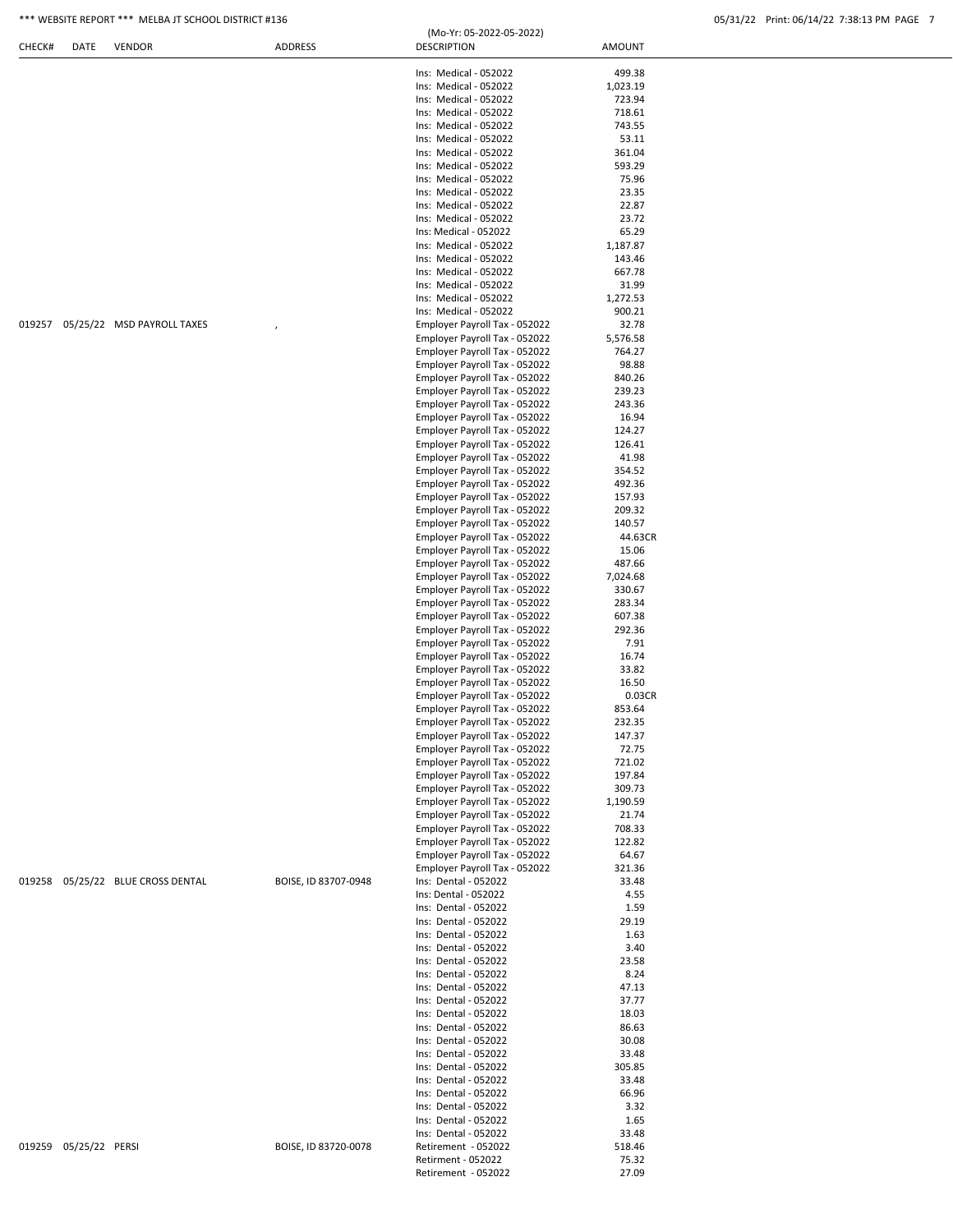| CHECK# | DATE                  | <b>VENDOR</b>                     | ADDRESS              | (Mo-Yr: 05-2022-05-2022)<br><b>DESCRIPTION</b>                 | AMOUNT             |
|--------|-----------------------|-----------------------------------|----------------------|----------------------------------------------------------------|--------------------|
|        |                       |                                   |                      | Ins: Medical - 052022                                          | 499.38             |
|        |                       |                                   |                      | Ins: Medical - 052022                                          | 1,023.19           |
|        |                       |                                   |                      | Ins: Medical - 052022                                          | 723.94             |
|        |                       |                                   |                      | Ins: Medical - 052022                                          | 718.61             |
|        |                       |                                   |                      | Ins: Medical - 052022                                          | 743.55             |
|        |                       |                                   |                      | Ins: Medical - 052022                                          | 53.11              |
|        |                       |                                   |                      | Ins: Medical - 052022                                          | 361.04             |
|        |                       |                                   |                      | Ins: Medical - 052022                                          | 593.29             |
|        |                       |                                   |                      | Ins: Medical - 052022                                          | 75.96              |
|        |                       |                                   |                      | Ins: Medical - 052022<br>Ins: Medical - 052022                 | 23.35<br>22.87     |
|        |                       |                                   |                      | Ins: Medical - 052022                                          | 23.72              |
|        |                       |                                   |                      | Ins: Medical - 052022                                          | 65.29              |
|        |                       |                                   |                      | Ins: Medical - 052022                                          | 1,187.87           |
|        |                       |                                   |                      | Ins: Medical - 052022                                          | 143.46             |
|        |                       |                                   |                      | Ins: Medical - 052022                                          | 667.78             |
|        |                       |                                   |                      | Ins: Medical - 052022                                          | 31.99              |
|        |                       |                                   |                      | Ins: Medical - 052022                                          | 1,272.53           |
|        |                       |                                   |                      | Ins: Medical - 052022                                          | 900.21             |
|        |                       | 019257 05/25/22 MSD PAYROLL TAXES |                      | Employer Payroll Tax - 052022                                  | 32.78              |
|        |                       |                                   |                      | Employer Payroll Tax - 052022<br>Employer Payroll Tax - 052022 | 5,576.58<br>764.27 |
|        |                       |                                   |                      | Employer Payroll Tax - 052022                                  | 98.88              |
|        |                       |                                   |                      | Employer Payroll Tax - 052022                                  | 840.26             |
|        |                       |                                   |                      | Employer Payroll Tax - 052022                                  | 239.23             |
|        |                       |                                   |                      | Employer Payroll Tax - 052022                                  | 243.36             |
|        |                       |                                   |                      | Employer Payroll Tax - 052022                                  | 16.94              |
|        |                       |                                   |                      | Employer Payroll Tax - 052022                                  | 124.27             |
|        |                       |                                   |                      | Employer Payroll Tax - 052022                                  | 126.41             |
|        |                       |                                   |                      | Employer Payroll Tax - 052022                                  | 41.98              |
|        |                       |                                   |                      | Employer Payroll Tax - 052022                                  | 354.52             |
|        |                       |                                   |                      | Employer Payroll Tax - 052022                                  | 492.36             |
|        |                       |                                   |                      | Employer Payroll Tax - 052022                                  | 157.93             |
|        |                       |                                   |                      | Employer Payroll Tax - 052022                                  | 209.32             |
|        |                       |                                   |                      | Employer Payroll Tax - 052022<br>Employer Payroll Tax - 052022 | 140.57<br>44.63CR  |
|        |                       |                                   |                      | Employer Payroll Tax - 052022                                  | 15.06              |
|        |                       |                                   |                      | Employer Payroll Tax - 052022                                  | 487.66             |
|        |                       |                                   |                      | Employer Payroll Tax - 052022                                  | 7,024.68           |
|        |                       |                                   |                      | Employer Payroll Tax - 052022                                  | 330.67             |
|        |                       |                                   |                      | Employer Payroll Tax - 052022                                  | 283.34             |
|        |                       |                                   |                      | Employer Payroll Tax - 052022                                  | 607.38             |
|        |                       |                                   |                      | Employer Payroll Tax - 052022                                  | 292.36             |
|        |                       |                                   |                      | Employer Payroll Tax - 052022                                  | 7.91               |
|        |                       |                                   |                      | Employer Payroll Tax - 052022                                  | 16.74              |
|        |                       |                                   |                      | Employer Payroll Tax - 052022                                  | 33.82              |
|        |                       |                                   |                      | Employer Payroll Tax - 052022                                  | 16.50              |
|        |                       |                                   |                      | Employer Payroll Tax - 052022<br>Employer Payroll Tax - 052022 | 0.03CR<br>853.64   |
|        |                       |                                   |                      | Employer Payroll Tax - 052022                                  | 232.35             |
|        |                       |                                   |                      | Employer Payroll Tax - 052022                                  | 147.37             |
|        |                       |                                   |                      | Employer Payroll Tax - 052022                                  | 72.75              |
|        |                       |                                   |                      | Employer Payroll Tax - 052022                                  | 721.02             |
|        |                       |                                   |                      | Employer Payroll Tax - 052022                                  | 197.84             |
|        |                       |                                   |                      | Employer Payroll Tax - 052022                                  | 309.73             |
|        |                       |                                   |                      | Employer Payroll Tax - 052022                                  | 1,190.59           |
|        |                       |                                   |                      | Employer Payroll Tax - 052022                                  | 21.74              |
|        |                       |                                   |                      | Employer Payroll Tax - 052022                                  | 708.33             |
|        |                       |                                   |                      | Employer Payroll Tax - 052022                                  | 122.82             |
|        |                       |                                   |                      | Employer Payroll Tax - 052022<br>Employer Payroll Tax - 052022 | 64.67              |
|        |                       | 019258 05/25/22 BLUE CROSS DENTAL | BOISE, ID 83707-0948 | Ins: Dental - 052022                                           | 321.36<br>33.48    |
|        |                       |                                   |                      | Ins: Dental - 052022                                           | 4.55               |
|        |                       |                                   |                      | Ins: Dental - 052022                                           | 1.59               |
|        |                       |                                   |                      | Ins: Dental - 052022                                           | 29.19              |
|        |                       |                                   |                      | Ins: Dental - 052022                                           | 1.63               |
|        |                       |                                   |                      | Ins: Dental - 052022                                           | 3.40               |
|        |                       |                                   |                      | Ins: Dental - 052022                                           | 23.58              |
|        |                       |                                   |                      | Ins: Dental - 052022                                           | 8.24               |
|        |                       |                                   |                      | Ins: Dental - 052022                                           | 47.13              |
|        |                       |                                   |                      | Ins: Dental - 052022                                           | 37.77              |
|        |                       |                                   |                      | Ins: Dental - 052022                                           | 18.03              |
|        |                       |                                   |                      | Ins: Dental - 052022<br>Ins: Dental - 052022                   | 86.63<br>30.08     |
|        |                       |                                   |                      | Ins: Dental - 052022                                           | 33.48              |
|        |                       |                                   |                      | Ins: Dental - 052022                                           | 305.85             |
|        |                       |                                   |                      | Ins: Dental - 052022                                           | 33.48              |
|        |                       |                                   |                      | Ins: Dental - 052022                                           | 66.96              |
|        |                       |                                   |                      | Ins: Dental - 052022                                           | 3.32               |
|        |                       |                                   |                      | Ins: Dental - 052022                                           | 1.65               |
|        |                       |                                   |                      | Ins: Dental - 052022                                           | 33.48              |
|        | 019259 05/25/22 PERSI |                                   | BOISE, ID 83720-0078 | Retirement - 052022                                            | 518.46             |
|        |                       |                                   |                      | Retirment - 052022                                             | 75.32              |
|        |                       |                                   |                      | Retirement - 052022                                            | 27.09              |